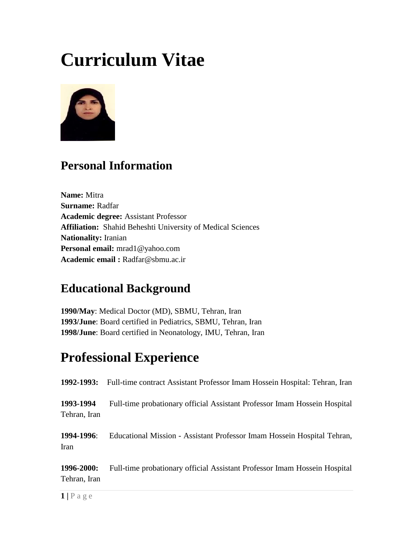# **Curriculum Vitae**



## **Personal Information**

**Name:** Mitra **Surname:** Radfar **Academic degree:** Assistant Professor **Affiliation:** Shahid Beheshti University of Medical Sciences **Nationality:** Iranian **Personal email:** mrad1@yahoo.com **Academic email :** Radfar@sbmu.ac.ir

## **Educational Background**

**1990/May**: Medical Doctor (MD), SBMU, Tehran, Iran **1993/June**: Board certified in Pediatrics, SBMU, Tehran, Iran **1998/June**: Board certified in Neonatology, IMU, Tehran, Iran

# **Professional Experience**

|                            | <b>1992-1993:</b> Full-time contract Assistant Professor Imam Hossein Hospital: Tehran, Iran |
|----------------------------|----------------------------------------------------------------------------------------------|
| 1993-1994<br>Tehran, Iran  | Full-time probationary official Assistant Professor Imam Hossein Hospital                    |
| 1994-1996:<br>Iran         | Educational Mission - Assistant Professor Imam Hossein Hospital Tehran,                      |
| 1996-2000:<br>Tehran, Iran | Full-time probationary official Assistant Professor Imam Hossein Hospital                    |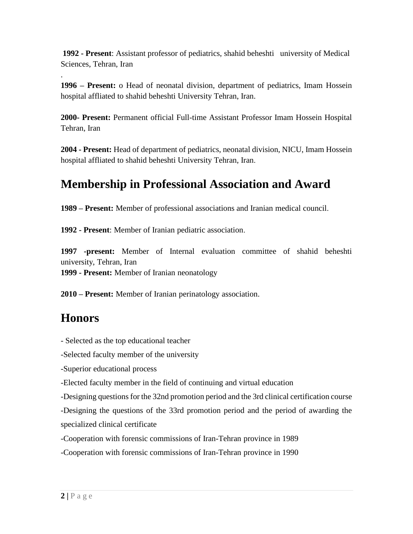**1992 - Present**: Assistant professor of pediatrics, shahid beheshti university of Medical Sciences, Tehran, Iran

**1996 – Present:** o Head of neonatal division, department of pediatrics, Imam Hossein hospital affliated to shahid beheshti University Tehran, Iran.

**2000- Present:** Permanent official Full-time Assistant Professor Imam Hossein Hospital Tehran, Iran

**2004 - Present:** Head of department of pediatrics, neonatal division, NICU, Imam Hossein hospital affliated to shahid beheshti University Tehran, Iran.

## **Membership in Professional Association and Award**

**1989 – Present:** Member of professional associations and Iranian medical council.

**1992 - Present**: Member of Iranian pediatric association.

**1997 -present:** Member of Internal evaluation committee of shahid beheshti university, Tehran, Iran

**1999 - Present:** Member of Iranian neonatology

**2010 – Present:** Member of Iranian perinatology association.

## **Honors**

.

- Selected as the top educational teacher

-Selected faculty member of the university

-Superior educational process

-Elected faculty member in the field of continuing and virtual education

-Designing questions for the 32nd promotion period and the 3rd clinical certification course

-Designing the questions of the 33rd promotion period and the period of awarding the specialized clinical certificate

-Cooperation with forensic commissions of Iran-Tehran province in 1989

-Cooperation with forensic commissions of Iran-Tehran province in 1990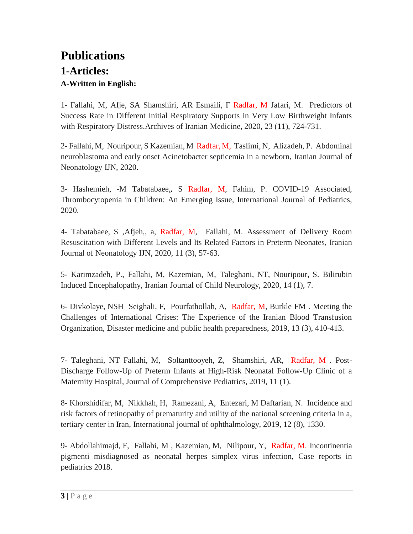## **Publications 1-Articles: A-Written in English:**

1- Fallahi, M, Afje, SA Shamshiri, AR Esmaili, F Radfar, M Jafari, M. Predictors of Success Rate in Different Initial Respiratory Supports in Very Low Birthweight Infants with Respiratory Distress.Archives of Iranian Medicine, 2020, 23 (11), 724-731.

2- Fallahi, M, Nouripour, S Kazemian, M Radfar, M, Taslimi, N, Alizadeh, P. Abdominal neuroblastoma and early onset Acinetobacter septicemia in a newborn, Iranian Journal of Neonatology IJN, 2020.

3- Hashemieh, -M Tabatabaee,, S Radfar, M, Fahim, P. COVID-19 Associated, Thrombocytopenia in Children: An Emerging Issue, International Journal of Pediatrics, 2020.

4- Tabatabaee, S ,Afjeh,, a, Radfar, M, Fallahi, M. Assessment of Delivery Room Resuscitation with Different Levels and Its Related Factors in Preterm Neonates, Iranian Journal of Neonatology IJN, 2020, 11 (3), 57-63.

5- Karimzadeh, P., Fallahi, M, Kazemian, M, Taleghani, NT, Nouripour, S. Bilirubin Induced Encephalopathy, Iranian Journal of Child Neurology, 2020, 14 (1), 7.

6- Divkolaye, NSH Seighali, F, Pourfathollah, A, Radfar, M, Burkle FM . Meeting the Challenges of International Crises: The Experience of the Iranian Blood Transfusion Organization, Disaster medicine and public health preparedness, 2019, 13 (3), 410-413.

7- Taleghani, NT Fallahi, M, Soltanttooyeh, Z, Shamshiri, AR, Radfar, M . Post-Discharge Follow-Up of Preterm Infants at High-Risk Neonatal Follow-Up Clinic of a Maternity Hospital, Journal of Comprehensive Pediatrics, 2019, 11 (1).

8- Khorshidifar, M, Nikkhah, H, Ramezani, A, Entezari, M Daftarian, N. Incidence and risk factors of retinopathy of prematurity and utility of the national screening criteria in a, tertiary center in Iran, International journal of ophthalmology, 2019, 12 (8), 1330.

9- Abdollahimajd, F, Fallahi, M , Kazemian, M, Nilipour, Y, Radfar, M. Incontinentia pigmenti misdiagnosed as neonatal herpes simplex virus infection, Case reports in pediatrics 2018.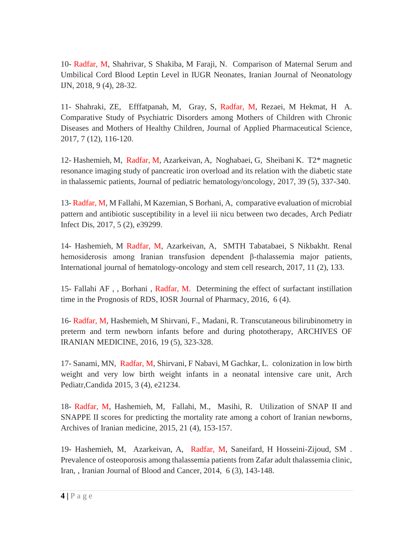10- Radfar, M, Shahrivar, S Shakiba, M Faraji, N. Comparison of Maternal Serum and Umbilical Cord Blood Leptin Level in IUGR Neonates, Iranian Journal of Neonatology IJN, 2018, 9 (4), 28-32.

11- Shahraki, ZE, Efffatpanah, M, Gray, S, Radfar, M, Rezaei, M Hekmat, H A. Comparative Study of Psychiatric Disorders among Mothers of Children with Chronic Diseases and Mothers of Healthy Children, Journal of Applied Pharmaceutical Science, 2017, 7 (12), 116-120.

12- Hashemieh, M, Radfar, M, Azarkeivan, A, Noghabaei, G, Sheibani K. T2\* magnetic resonance imaging study of pancreatic iron overload and its relation with the diabetic state in thalassemic patients, Journal of pediatric hematology/oncology, 2017, 39 (5), 337-340.

13- Radfar, M, M Fallahi, M Kazemian, S Borhani, A, comparative evaluation of microbial pattern and antibiotic susceptibility in a level iii nicu between two decades, Arch Pediatr Infect Dis, 2017, 5 (2), e39299.

14- Hashemieh, M Radfar, M, Azarkeivan, A, SMTH Tabatabaei, S Nikbakht. Renal hemosiderosis among Iranian transfusion dependent β-thalassemia major patients, International journal of hematology-oncology and stem cell research, 2017, 11 (2), 133.

15- Fallahi AF , , Borhani , Radfar, M. Determining the effect of surfactant instillation time in the Prognosis of RDS, IOSR Journal of Pharmacy, 2016, 6 (4).

16- Radfar, M, Hashemieh, M Shirvani, F., Madani, R. Transcutaneous bilirubinometry in preterm and term newborn infants before and during phototherapy, ARCHIVES OF IRANIAN MEDICINE, 2016, 19 (5), 323-328.

17- Sanami, MN, Radfar, M, Shirvani, F Nabavi, M Gachkar, L. colonization in low birth weight and very low birth weight infants in a neonatal intensive care unit, Arch Pediatr,Candida 2015, 3 (4), e21234.

18- Radfar, M, Hashemieh, M, Fallahi, M., Masihi, R. Utilization of SNAP II and SNAPPE II scores for predicting the mortality rate among a cohort of Iranian newborns, Archives of Iranian medicine, 2015, 21 (4), 153-157.

19- Hashemieh, M, Azarkeivan, A, Radfar, M, Saneifard, H Hosseini-Zijoud, SM . Prevalence of osteoporosis among thalassemia patients from Zafar adult thalassemia clinic, Iran, , Iranian Journal of Blood and Cancer, 2014, 6 (3), 143-148.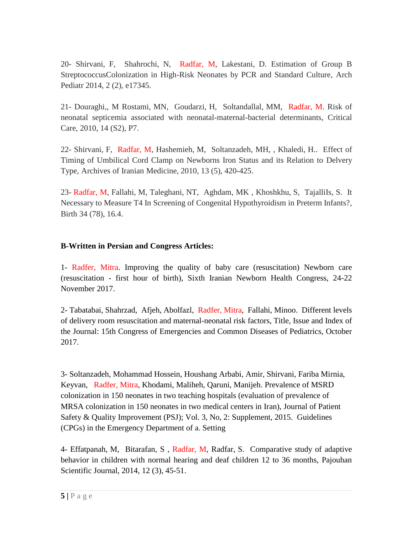20- Shirvani, F, Shahrochi, N, Radfar, M, Lakestani, D. Estimation of Group B StreptococcusColonization in High-Risk Neonates by PCR and Standard Culture, Arch Pediatr 2014, 2 (2), e17345.

21- Douraghi,, M Rostami, MN, Goudarzi, H, Soltandallal, MM, Radfar, M. Risk of neonatal septicemia associated with neonatal-maternal-bacterial determinants, Critical Care, 2010, 14 (S2), P7.

22- Shirvani, F, Radfar, M, Hashemieh, M, Soltanzadeh, MH, , Khaledi, H.. Effect of Timing of Umbilical Cord Clamp on Newborns Iron Status and its Relation to Delvery Type, Archives of Iranian Medicine, 2010, 13 (5), 420-425.

23- Radfar, M, Fallahi, M, Taleghani, NT, Aghdam, MK, Khoshkhu, S, TajalliIs, S. It Necessary to Measure T4 In Screening of Congenital Hypothyroidism in Preterm Infants?, Birth 34 (78), 16.4.

### **B-Written in Persian and Congress Articles:**

1- Radfer, Mitra. Improving the quality of baby care (resuscitation) Newborn care (resuscitation - first hour of birth), Sixth Iranian Newborn Health Congress, 24-22 November 2017.

2- Tabatabai, Shahrzad, Afjeh, Abolfazl, Radfer, Mitra, Fallahi, Minoo. Different levels of delivery room resuscitation and maternal-neonatal risk factors, Title, Issue and Index of the Journal: 15th Congress of Emergencies and Common Diseases of Pediatrics, October 2017.

3- Soltanzadeh, Mohammad Hossein, Houshang Arbabi, Amir, Shirvani, Fariba Mirnia, Keyvan, Radfer, Mitra, Khodami, Maliheh, Qaruni, Manijeh. Prevalence of MSRD colonization in 150 neonates in two teaching hospitals (evaluation of prevalence of MRSA colonization in 150 neonates in two medical centers in Iran), Journal of Patient Safety & Quality Improvement (PSJ); Vol. 3, No, 2: Supplement, 2015. Guidelines (CPGs) in the Emergency Department of a. Setting

4- Effatpanah, M, Bitarafan, S , Radfar, M, Radfar, S. Comparative study of adaptive behavior in children with normal hearing and deaf children 12 to 36 months, Pajouhan Scientific Journal, 2014, 12 (3), 45-51.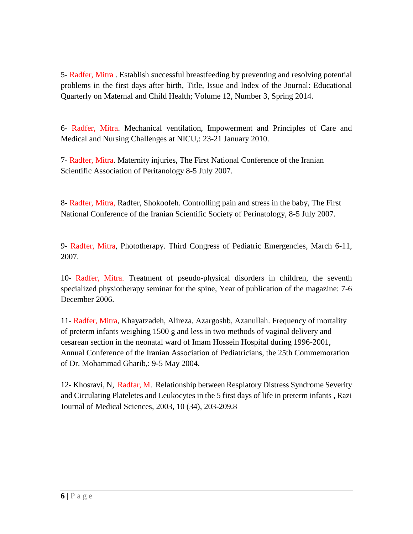5- Radfer, Mitra . Establish successful breastfeeding by preventing and resolving potential problems in the first days after birth, Title, Issue and Index of the Journal: Educational Quarterly on Maternal and Child Health; Volume 12, Number 3, Spring 2014.

6- Radfer, Mitra. Mechanical ventilation, Impowerment and Principles of Care and Medical and Nursing Challenges at NICU,: 23-21 January 2010.

7- Radfer, Mitra. Maternity injuries, The First National Conference of the Iranian Scientific Association of Peritanology 8-5 July 2007.

8- Radfer, Mitra, Radfer, Shokoofeh. Controlling pain and stress in the baby, The First National Conference of the Iranian Scientific Society of Perinatology, 8-5 July 2007.

9- Radfer, Mitra, Phototherapy. Third Congress of Pediatric Emergencies, March 6-11, 2007.

10- Radfer, Mitra. Treatment of pseudo-physical disorders in children, the seventh specialized physiotherapy seminar for the spine, Year of publication of the magazine: 7-6 December 2006.

11- Radfer, Mitra, Khayatzadeh, Alireza, Azargoshb, Azanullah. Frequency of mortality of preterm infants weighing 1500 g and less in two methods of vaginal delivery and cesarean section in the neonatal ward of Imam Hossein Hospital during 1996-2001, Annual Conference of the Iranian Association of Pediatricians, the 25th Commemoration of Dr. Mohammad Gharib,: 9-5 May 2004.

12- Khosravi, N, Radfar, M. Relationship between Respiatory Distress Syndrome Severity and Circulating Plateletes and Leukocytes in the 5 first days of life in preterm infants , Razi Journal of Medical Sciences, 2003, 10 (34), 203-209.8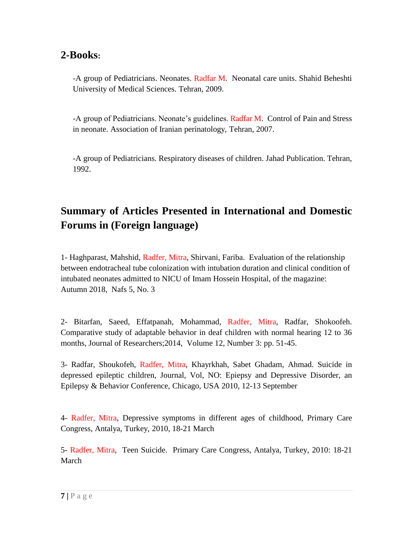## **2-Books:**

-A group of Pediatricians. Neonates. Radfar M. Neonatal care units. Shahid Beheshti University of Medical Sciences. Tehran, 2009.

-A group of Pediatricians. Neonate's guidelines. Radfar M. Control of Pain and Stress in neonate. Association of Iranian perinatology, Tehran, 2007.

-A group of Pediatricians. Respiratory diseases of children. Jahad Publication. Tehran, 1992.

## **Summary of Articles Presented in International and Domestic Forums in (Foreign language)**

1- Haghparast, Mahshid, Radfer, Mitra, Shirvani, Fariba. Evaluation of the relationship between endotracheal tube colonization with intubation duration and clinical condition of intubated neonates admitted to NICU of Imam Hossein Hospital, of the magazine: Autumn 2018, Nafs 5, No. 3

2- Bitarfan, Saeed, Effatpanah, Mohammad, Radfer, Mitra, Radfar, Shokoofeh. Comparative study of adaptable behavior in deaf children with normal hearing 12 to 36 months, Journal of Researchers;2014, Volume 12, Number 3: pp. 51-45.

3- Radfar, Shoukofeh, Radfer, Mitra, Khayrkhah, Sabet Ghadam, Ahmad. Suicide in depressed epileptic children, Journal, Vol, NO: Epiepsy and Depressive Disorder, an Epilepsy & Behavior Conference, Chicago, USA 2010, 12-13 September

4- Radfer, Mitra, Depressive symptoms in different ages of childhood, Primary Care Congress, Antalya, Turkey, 2010, 18-21 March

5- Radfer, Mitra, Teen Suicide. Primary Care Congress, Antalya, Turkey, 2010: 18-21 March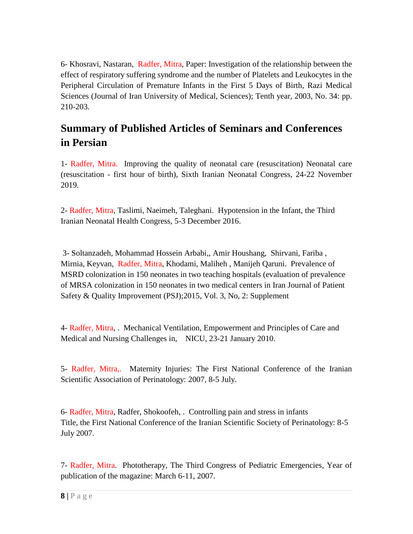6- Khosravi, Nastaran, Radfer, Mitra, Paper: Investigation of the relationship between the effect of respiratory suffering syndrome and the number of Platelets and Leukocytes in the Peripheral Circulation of Premature Infants in the First 5 Days of Birth, Razi Medical Sciences (Journal of Iran University of Medical, Sciences); Tenth year, 2003, No. 34: pp. 210-203.

## **Summary of Published Articles of Seminars and Conferences in Persian**

1- Radfer, Mitra. Improving the quality of neonatal care (resuscitation) Neonatal care (resuscitation - first hour of birth), Sixth Iranian Neonatal Congress, 24-22 November 2019.

2- Radfer, Mitra, Taslimi, Naeimeh, Taleghani. Hypotension in the Infant, the Third Iranian Neonatal Health Congress, 5-3 December 2016.

3- Soltanzadeh, Mohammad Hossein Arbabi,, Amir Houshang, Shirvani, Fariba , Mirnia, Keyvan, Radfer, Mitra, Khodami, Maliheh , Manijeh Qaruni. Prevalence of MSRD colonization in 150 neonates in two teaching hospitals (evaluation of prevalence of MRSA colonization in 150 neonates in two medical centers in Iran Journal of Patient Safety & Quality Improvement (PSJ);2015, Vol. 3, No, 2: Supplement

4- Radfer, Mitra, . Mechanical Ventilation, Empowerment and Principles of Care and Medical and Nursing Challenges in, NICU, 23-21 January 2010.

5- Radfer, Mitra,. Maternity Injuries: The First National Conference of the Iranian Scientific Association of Perinatology: 2007, 8-5 July.

6- Radfer, Mitra, Radfer, Shokoofeh, . Controlling pain and stress in infants Title, the First National Conference of the Iranian Scientific Society of Perinatology: 8-5 July 2007.

7- Radfer, Mitra. Phototherapy, The Third Congress of Pediatric Emergencies, Year of publication of the magazine: March 6-11, 2007.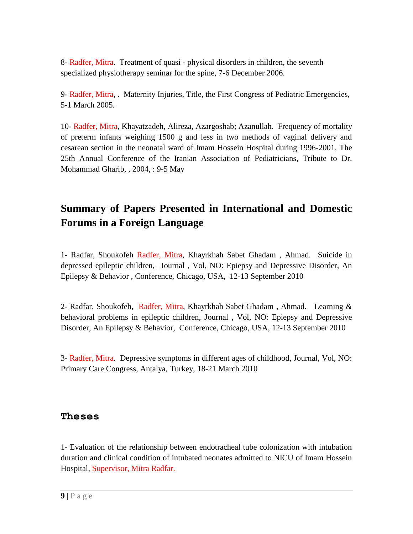8- Radfer, Mitra. Treatment of quasi - physical disorders in children, the seventh specialized physiotherapy seminar for the spine, 7-6 December 2006.

9- Radfer, Mitra, . Maternity Injuries, Title, the First Congress of Pediatric Emergencies, 5-1 March 2005.

10- Radfer, Mitra, Khayatzadeh, Alireza, Azargoshab; Azanullah. Frequency of mortality of preterm infants weighing 1500 g and less in two methods of vaginal delivery and cesarean section in the neonatal ward of Imam Hossein Hospital during 1996-2001, The 25th Annual Conference of the Iranian Association of Pediatricians, Tribute to Dr. Mohammad Gharib, , 2004, : 9-5 May

## **Summary of Papers Presented in International and Domestic Forums in a Foreign Language**

1- Radfar, Shoukofeh Radfer, Mitra, Khayrkhah Sabet Ghadam , Ahmad. Suicide in depressed epileptic children, Journal , Vol, NO: Epiepsy and Depressive Disorder, An Epilepsy & Behavior , Conference, Chicago, USA, 12-13 September 2010

2- Radfar, Shoukofeh, Radfer, Mitra, Khayrkhah Sabet Ghadam , Ahmad. Learning & behavioral problems in epileptic children, Journal , Vol, NO: Epiepsy and Depressive Disorder, An Epilepsy & Behavior, Conference, Chicago, USA, 12-13 September 2010

3- Radfer, Mitra. Depressive symptoms in different ages of childhood, Journal, Vol, NO: Primary Care Congress, Antalya, Turkey, 18-21 March 2010

### **Theses**

1- Evaluation of the relationship between endotracheal tube colonization with intubation duration and clinical condition of intubated neonates admitted to NICU of Imam Hossein Hospital, Supervisor, Mitra Radfar.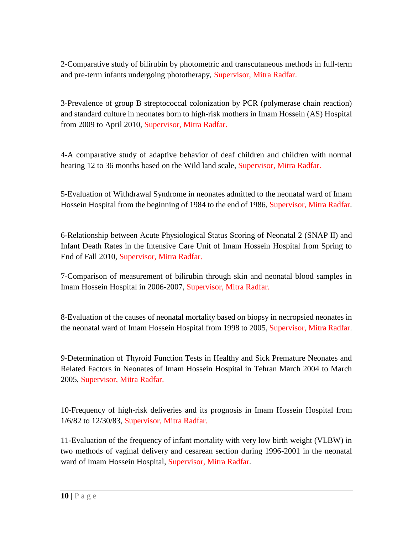2-Comparative study of bilirubin by photometric and transcutaneous methods in full-term and pre-term infants undergoing phototherapy, Supervisor, Mitra Radfar.

3-Prevalence of group B streptococcal colonization by PCR (polymerase chain reaction) and standard culture in neonates born to high-risk mothers in Imam Hossein (AS) Hospital from 2009 to April 2010, Supervisor, Mitra Radfar.

4-A comparative study of adaptive behavior of deaf children and children with normal hearing 12 to 36 months based on the Wild land scale, Supervisor, Mitra Radfar.

5-Evaluation of Withdrawal Syndrome in neonates admitted to the neonatal ward of Imam Hossein Hospital from the beginning of 1984 to the end of 1986, Supervisor, Mitra Radfar.

6-Relationship between Acute Physiological Status Scoring of Neonatal 2 (SNAP II) and Infant Death Rates in the Intensive Care Unit of Imam Hossein Hospital from Spring to End of Fall 2010, Supervisor, Mitra Radfar.

7-Comparison of measurement of bilirubin through skin and neonatal blood samples in Imam Hossein Hospital in 2006-2007, Supervisor, Mitra Radfar.

8-Evaluation of the causes of neonatal mortality based on biopsy in necropsied neonates in the neonatal ward of Imam Hossein Hospital from 1998 to 2005, Supervisor, Mitra Radfar.

9-Determination of Thyroid Function Tests in Healthy and Sick Premature Neonates and Related Factors in Neonates of Imam Hossein Hospital in Tehran March 2004 to March 2005, Supervisor, Mitra Radfar.

10-Frequency of high-risk deliveries and its prognosis in Imam Hossein Hospital from 1/6/82 to 12/30/83, Supervisor, Mitra Radfar.

11-Evaluation of the frequency of infant mortality with very low birth weight (VLBW) in two methods of vaginal delivery and cesarean section during 1996-2001 in the neonatal ward of Imam Hossein Hospital, Supervisor, Mitra Radfar.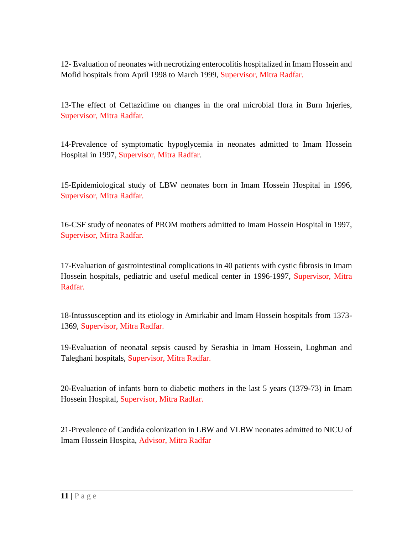12- Evaluation of neonates with necrotizing enterocolitis hospitalized in Imam Hossein and Mofid hospitals from April 1998 to March 1999, Supervisor, Mitra Radfar.

13-The effect of Ceftazidime on changes in the oral microbial flora in Burn Injeries, Supervisor, Mitra Radfar.

14-Prevalence of symptomatic hypoglycemia in neonates admitted to Imam Hossein Hospital in 1997, Supervisor, Mitra Radfar.

15-Epidemiological study of LBW neonates born in Imam Hossein Hospital in 1996, Supervisor, Mitra Radfar.

16-CSF study of neonates of PROM mothers admitted to Imam Hossein Hospital in 1997, Supervisor, Mitra Radfar.

17-Evaluation of gastrointestinal complications in 40 patients with cystic fibrosis in Imam Hossein hospitals, pediatric and useful medical center in 1996-1997, Supervisor, Mitra Radfar.

18-Intussusception and its etiology in Amirkabir and Imam Hossein hospitals from 1373- 1369, Supervisor, Mitra Radfar.

19-Evaluation of neonatal sepsis caused by Serashia in Imam Hossein, Loghman and Taleghani hospitals, Supervisor, Mitra Radfar.

20-Evaluation of infants born to diabetic mothers in the last 5 years (1379-73) in Imam Hossein Hospital, Supervisor, Mitra Radfar.

21-Prevalence of Candida colonization in LBW and VLBW neonates admitted to NICU of Imam Hossein Hospita, Advisor, Mitra Radfar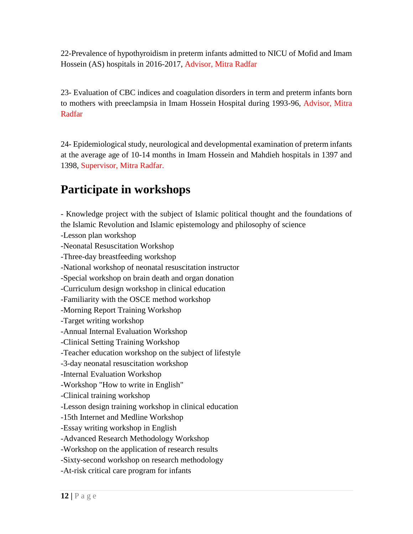22-Prevalence of hypothyroidism in preterm infants admitted to NICU of Mofid and Imam Hossein (AS) hospitals in 2016-2017, Advisor, Mitra Radfar

23- Evaluation of CBC indices and coagulation disorders in term and preterm infants born to mothers with preeclampsia in Imam Hossein Hospital during 1993-96, Advisor, Mitra Radfar

24- Epidemiological study, neurological and developmental examination of preterm infants at the average age of 10-14 months in Imam Hossein and Mahdieh hospitals in 1397 and 1398, Supervisor, Mitra Radfar.

## **Participate in workshops**

- Knowledge project with the subject of Islamic political thought and the foundations of the Islamic Revolution and Islamic epistemology and philosophy of science -Lesson plan workshop -Neonatal Resuscitation Workshop -Three-day breastfeeding workshop -National workshop of neonatal resuscitation instructor -Special workshop on brain death and organ donation -Curriculum design workshop in clinical education -Familiarity with the OSCE method workshop -Morning Report Training Workshop -Target writing workshop -Annual Internal Evaluation Workshop -Clinical Setting Training Workshop -Teacher education workshop on the subject of lifestyle -3-day neonatal resuscitation workshop -Internal Evaluation Workshop -Workshop "How to write in English" -Clinical training workshop -Lesson design training workshop in clinical education -15th Internet and Medline Workshop -Essay writing workshop in English -Advanced Research Methodology Workshop -Workshop on the application of research results -Sixty-second workshop on research methodology -At-risk critical care program for infants